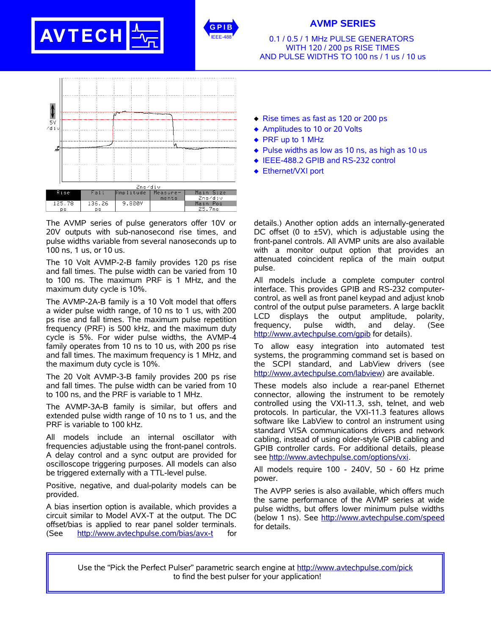## **AVTECH**



## **AVMP SERIES**

0.1 / 0.5 / 1 MHz PULSE GENERATORS WITH 120 / 200 ps RISE TIMES AND PULSE WIDTHS TO 100 ns / 1 us / 10 us



The AVMP series of pulse generators offer 10V or 20V outputs with sub-nanosecond rise times, and pulse widths variable from several nanoseconds up to 100 ns, 1 us, or 10 us.

The 10 Volt AVMP-2-B family provides 120 ps rise and fall times. The pulse width can be varied from 10 to 100 ns. The maximum PRF is 1 MHz, and the maximum duty cycle is 10%.

The AVMP-2A-B family is a 10 Volt model that offers a wider pulse width range, of 10 ns to 1 us, with 200 ps rise and fall times. The maximum pulse repetition frequency (PRF) is 500 kHz, and the maximum duty cycle is 5%. For wider pulse widths, the AVMP-4 family operates from 10 ns to 10 us, with 200 ps rise and fall times. The maximum frequency is 1 MHz, and the maximum duty cycle is 10%.

The 20 Volt AVMP-3-B family provides 200 ps rise and fall times. The pulse width can be varied from 10 to 100 ns, and the PRF is variable to 1 MHz.

The AVMP-3A-B family is similar, but offers and extended pulse width range of 10 ns to 1 us, and the PRF is variable to 100 kHz.

All models include an internal oscillator with frequencies adjustable using the front-panel controls. A delay control and a sync output are provided for oscilloscope triggering purposes. All models can also be triggered externally with a TTL-level pulse.

Positive, negative, and dual-polarity models can be provided.

A bias insertion option is available, which provides a circuit similar to Model AVX-T at the output. The DC offset/bias is applied to rear panel solder terminals. (See http://www.avtechpulse.com/bias/avx-t for

- $\triangleleft$  Rise times as fast as 120 or 200 ps
- ◆ Amplitudes to 10 or 20 Volts
- ◆ PRF up to 1 MHz
- $\bullet$  Pulse widths as low as 10 ns, as high as 10 us
- ◆ IEEE-488.2 GPIB and RS-232 control
- ◆ Ethernet/VXI port

details.) Another option adds an internally-generated DC offset (0 to  $\pm$ 5V), which is adjustable using the front-panel controls. All AVMP units are also available with a monitor output option that provides an attenuated coincident replica of the main output pulse.

All models include a complete computer control interface. This provides GPIB and RS-232 computercontrol, as well as front panel keypad and adjust knob control of the output pulse parameters. A large backlit LCD displays the output amplitude, polarity, frequency, pulse width, and delay. (See http://www.avtechpulse.com/gpib for details).

To allow easy integration into automated test systems, the programming command set is based on the SCPI standard, and LabView drivers (see http://www.avtechpulse.com/labview) are available.

These models also include a rear-panel Ethernet connector, allowing the instrument to be remotely controlled using the VXI-11.3, ssh, telnet, and web protocols. In particular, the VXI-11.3 features allows software like LabView to control an instrument using standard VISA communications drivers and network cabling, instead of using older-style GPIB cabling and GPIB controller cards. For additional details, please see http://www.avtechpulse.com/options/vxi.

All models require 100 - 240V, 50 - 60 Hz prime power.

The AVPP series is also available, which offers much the same performance of the AVMP series at wide pulse widths, but offers lower minimum pulse widths (below 1 ns). See http://www.avtechpulse.com/speed for details.

Use the "Pick the Perfect Pulser" parametric search engine at http://www.avtechpulse.com/pick to find the best pulser for your application!